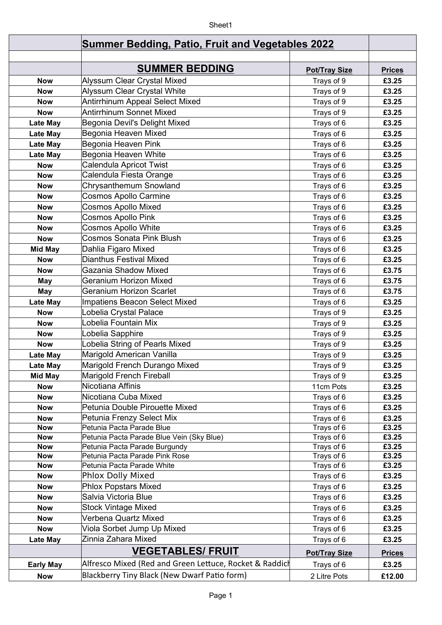## Sheet1

|                  | <b>Summer Bedding, Patio, Fruit and Vegetables 2022</b> |                      |               |
|------------------|---------------------------------------------------------|----------------------|---------------|
|                  |                                                         |                      |               |
|                  | <b>SUMMER BEDDING</b>                                   | <b>Pot/Tray Size</b> | <b>Prices</b> |
| <b>Now</b>       | Alyssum Clear Crystal Mixed                             | Trays of 9           | £3.25         |
| <b>Now</b>       | Alyssum Clear Crystal White                             | Trays of 9           | £3.25         |
| <b>Now</b>       | <b>Antirrhinum Appeal Select Mixed</b>                  | Trays of 9           | £3.25         |
| <b>Now</b>       | <b>Antirrhinum Sonnet Mixed</b>                         | Trays of 9           | £3.25         |
| <b>Late May</b>  | Begonia Devil's Delight Mixed                           | Trays of 6           | £3.25         |
| <b>Late May</b>  | Begonia Heaven Mixed                                    | Trays of 6           | £3.25         |
| <b>Late May</b>  | Begonia Heaven Pink                                     | Trays of 6           | £3.25         |
| Late May         | Begonia Heaven White                                    | Trays of 6           | £3.25         |
| <b>Now</b>       | <b>Calendula Apricot Twist</b>                          | Trays of 6           | £3.25         |
| <b>Now</b>       | Calendula Fiesta Orange                                 | Trays of 6           | £3.25         |
| <b>Now</b>       | Chrysanthemum Snowland                                  | Trays of 6           | £3.25         |
| <b>Now</b>       | <b>Cosmos Apollo Carmine</b>                            | Trays of 6           | £3.25         |
| <b>Now</b>       | <b>Cosmos Apollo Mixed</b>                              | Trays of 6           | £3.25         |
| <b>Now</b>       | <b>Cosmos Apollo Pink</b>                               | Trays of 6           | £3.25         |
| <b>Now</b>       | <b>Cosmos Apollo White</b>                              | Trays of 6           | £3.25         |
| <b>Now</b>       | <b>Cosmos Sonata Pink Blush</b>                         | Trays of 6           | £3.25         |
| <b>Mid May</b>   | Dahlia Figaro Mixed                                     | Trays of 6           | £3.25         |
| <b>Now</b>       | Dianthus Festival Mixed                                 | Trays of 6           | £3.25         |
| <b>Now</b>       | Gazania Shadow Mixed                                    | Trays of 6           | £3.75         |
| May              | Geranium Horizon Mixed                                  | Trays of 6           | £3.75         |
| May              | <b>Geranium Horizon Scarlet</b>                         | Trays of 6           | £3.75         |
| <b>Late May</b>  | Impatiens Beacon Select Mixed                           | Trays of 6           | £3.25         |
| <b>Now</b>       | Lobelia Crystal Palace                                  | Trays of 9           | £3.25         |
| <b>Now</b>       | Lobelia Fountain Mix                                    | Trays of 9           | £3.25         |
| <b>Now</b>       | Lobelia Sapphire                                        | Trays of 9           | £3.25         |
| <b>Now</b>       | Lobelia String of Pearls Mixed                          | Trays of 9           | £3.25         |
| <b>Late May</b>  | Marigold American Vanilla                               | Trays of 9           | £3.25         |
| <b>Late May</b>  | Marigold French Durango Mixed                           | Trays of 9           | £3.25         |
| <b>Mid May</b>   | Marigold French Fireball                                | Trays of 9           | £3.25         |
| <b>Now</b>       | Nicotiana Affinis                                       | 11cm Pots            | £3.25         |
| <b>Now</b>       | Nicotiana Cuba Mixed                                    | Trays of 6           | £3.25         |
| <b>Now</b>       | Petunia Double Pirouette Mixed                          | Trays of 6           | £3.25         |
| <b>Now</b>       | Petunia Frenzy Select Mix                               | Trays of 6           | £3.25         |
| <b>Now</b>       | Petunia Pacta Parade Blue                               | Trays of 6           | £3.25         |
| <b>Now</b>       | Petunia Pacta Parade Blue Vein (Sky Blue)               | Trays of 6           | £3.25         |
| <b>Now</b>       | Petunia Pacta Parade Burgundy                           | Trays of 6           | £3.25         |
| <b>Now</b>       | Petunia Pacta Parade Pink Rose                          | Trays of 6           | £3.25         |
| <b>Now</b>       | Petunia Pacta Parade White                              | Trays of 6           | £3.25         |
| <b>Now</b>       | <b>Phlox Dolly Mixed</b>                                | Trays of 6           | £3.25         |
| <b>Now</b>       | <b>Phlox Popstars Mixed</b>                             | Trays of 6           | £3.25         |
| <b>Now</b>       | Salvia Victoria Blue                                    | Trays of 6           | £3.25         |
| <b>Now</b>       | <b>Stock Vintage Mixed</b>                              | Trays of 6           | £3.25         |
| <b>Now</b>       | Verbena Quartz Mixed                                    | Trays of 6           | £3.25         |
| <b>Now</b>       | Viola Sorbet Jump Up Mixed                              | Trays of 6           | £3.25         |
| Late May         | Zinnia Zahara Mixed                                     | Trays of 6           | £3.25         |
|                  | <b>VEGETABLES/ FRUIT</b>                                | <b>Pot/Tray Size</b> | <b>Prices</b> |
| <b>Early May</b> | Alfresco Mixed (Red and Green Lettuce, Rocket & Raddich | Trays of 6           | £3.25         |
| <b>Now</b>       | Blackberry Tiny Black (New Dwarf Patio form)            | 2 Litre Pots         | £12.00        |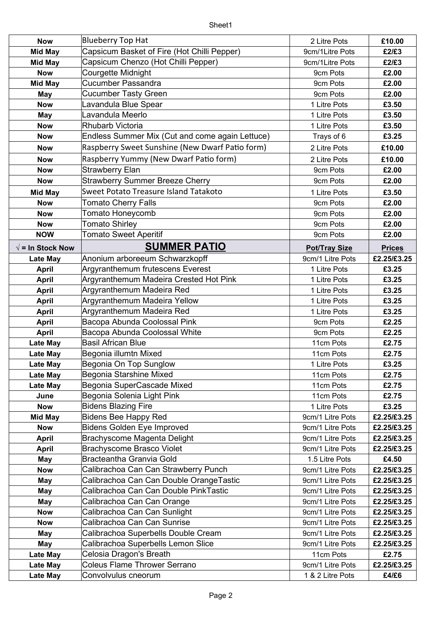| <b>Now</b>               | <b>Blueberry Top Hat</b>                        | 2 Litre Pots         | £10.00        |
|--------------------------|-------------------------------------------------|----------------------|---------------|
| <b>Mid May</b>           | Capsicum Basket of Fire (Hot Chilli Pepper)     | 9cm/1Litre Pots      | £2/£3         |
| <b>Mid May</b>           | Capsicum Chenzo (Hot Chilli Pepper)             | 9cm/1Litre Pots      | £2/£3         |
| <b>Now</b>               | Courgette Midnight                              | 9cm Pots             | £2.00         |
| <b>Mid May</b>           | <b>Cucumber Passandra</b>                       | 9cm Pots             | £2.00         |
| <b>May</b>               | <b>Cucumber Tasty Green</b>                     | 9cm Pots             | £2.00         |
| <b>Now</b>               | Lavandula Blue Spear                            | 1 Litre Pots         | £3.50         |
| <b>May</b>               | Lavandula Meerlo                                | 1 Litre Pots         | £3.50         |
| <b>Now</b>               | <b>Rhubarb Victoria</b>                         | 1 Litre Pots         | £3.50         |
| <b>Now</b>               | Endless Summer Mix (Cut and come again Lettuce) | Trays of 6           | £3.25         |
| <b>Now</b>               | Raspberry Sweet Sunshine (New Dwarf Patio form) | 2 Litre Pots         | £10.00        |
| <b>Now</b>               | Raspberry Yummy (New Dwarf Patio form)          | 2 Litre Pots         | £10.00        |
| <b>Now</b>               | Strawberry Elan                                 | 9cm Pots             | £2.00         |
| <b>Now</b>               | <b>Strawberry Summer Breeze Cherry</b>          | 9cm Pots             | £2.00         |
| <b>Mid May</b>           | Sweet Potato Treasure Island Tatakoto           | 1 Litre Pots         | £3.50         |
| <b>Now</b>               | <b>Tomato Cherry Falls</b>                      | 9cm Pots             | £2.00         |
| <b>Now</b>               | Tomato Honeycomb                                | 9cm Pots             | £2.00         |
| <b>Now</b>               | <b>Tomato Shirley</b>                           | 9cm Pots             | £2.00         |
| <b>NOW</b>               | <b>Tomato Sweet Aperitif</b>                    | 9cm Pots             | £2.00         |
| $\sqrt{}$ = In Stock Now | <b>SUMMER PATIO</b>                             | <b>Pot/Tray Size</b> | <b>Prices</b> |
| <b>Late May</b>          | Anonium arboreeum Schwarzkopff                  | 9cm/1 Litre Pots     | £2.25/£3.25   |
| <b>April</b>             | Argyranthemum frutescens Everest                | 1 Litre Pots         | £3.25         |
| <b>April</b>             | Argyranthemum Madeira Crested Hot Pink          | 1 Litre Pots         | £3.25         |
| <b>April</b>             | Argyranthemum Madeira Red                       | 1 Litre Pots         | £3.25         |
| <b>April</b>             | Argyranthemum Madeira Yellow                    | 1 Litre Pots         | £3.25         |
| <b>April</b>             | Argyranthemum Madeira Red                       | 1 Litre Pots         | £3.25         |
| <b>April</b>             | Bacopa Abunda Coolossal Pink                    | 9cm Pots             | £2.25         |
| <b>April</b>             | Bacopa Abunda Coolossal White                   | 9cm Pots             | £2.25         |
| <b>Late May</b>          | <b>Basil African Blue</b>                       | 11cm Pots            | £2.75         |
| <b>Late May</b>          | Begonia illumtn Mixed                           | 11cm Pots            | £2.75         |
| <b>Late May</b>          | Begonia On Top Sunglow                          | 1 Litre Pots         | £3.25         |
| <b>Late May</b>          | Begonia Starshine Mixed                         | 11cm Pots            | £2.75         |
| Late May                 | Begonia SuperCascade Mixed                      | 11cm Pots            | £2.75         |
| June                     | Begonia Solenia Light Pink                      | 11cm Pots            | £2.75         |
| <b>Now</b>               | <b>Bidens Blazing Fire</b>                      | 1 Litre Pots         | £3.25         |
| <b>Mid May</b>           | Bidens Bee Happy Red                            | 9cm/1 Litre Pots     | £2.25/£3.25   |
| <b>Now</b>               | <b>Bidens Golden Eye Improved</b>               | 9cm/1 Litre Pots     | £2.25/£3.25   |
| <b>April</b>             | Brachyscome Magenta Delight                     | 9cm/1 Litre Pots     | £2.25/£3.25   |
| <b>April</b>             | <b>Brachyscome Brasco Violet</b>                | 9cm/1 Litre Pots     | £2.25/£3.25   |
| May                      | Bracteantha Granvia Gold                        | 1.5 Litre Pots       | £4.50         |
| <b>Now</b>               | Calibrachoa Can Can Strawberry Punch            | 9cm/1 Litre Pots     | £2.25/£3.25   |
| May                      | Calibrachoa Can Can Double OrangeTastic         | 9cm/1 Litre Pots     | £2.25/£3.25   |
| <b>May</b>               | Calibrachoa Can Can Double PinkTastic           | 9cm/1 Litre Pots     | £2.25/£3.25   |
| May                      | Calibrachoa Can Can Orange                      | 9cm/1 Litre Pots     | £2.25/£3.25   |
| <b>Now</b>               | Calibrachoa Can Can Sunlight                    | 9cm/1 Litre Pots     | £2.25/£3.25   |
| <b>Now</b>               | Calibrachoa Can Can Sunrise                     | 9cm/1 Litre Pots     | £2.25/£3.25   |
| May                      | Calibrachoa Superbells Double Cream             | 9cm/1 Litre Pots     | £2.25/£3.25   |
| <b>May</b>               | Calibrachoa Superbells Lemon Slice              | 9cm/1 Litre Pots     | £2.25/£3.25   |
| <b>Late May</b>          | Celosia Dragon's Breath                         | 11cm Pots            | £2.75         |
| <b>Late May</b>          | <b>Coleus Flame Thrower Serrano</b>             | 9cm/1 Litre Pots     | £2.25/£3.25   |
|                          |                                                 |                      |               |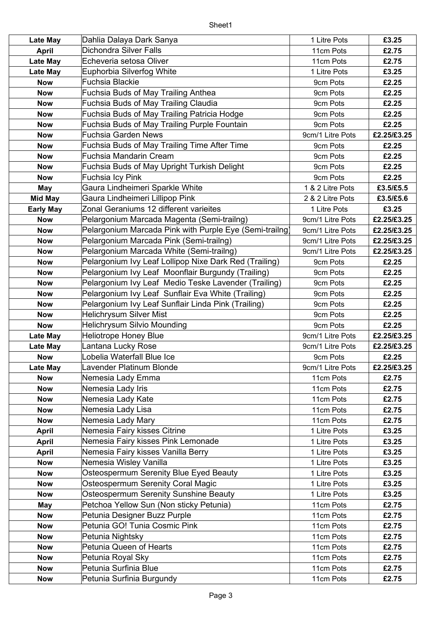| <b>Late May</b>  | Dahlia Dalaya Dark Sanya                                | 1 Litre Pots     | £3.25       |
|------------------|---------------------------------------------------------|------------------|-------------|
| April            | <b>Dichondra Silver Falls</b>                           | 11cm Pots        | £2.75       |
| <b>Late May</b>  | Echeveria setosa Oliver                                 | 11cm Pots        | £2.75       |
| <b>Late May</b>  | Euphorbia Silverfog White                               | 1 Litre Pots     | £3.25       |
| <b>Now</b>       | <b>Fuchsia Blackie</b>                                  | 9cm Pots         | £2.25       |
| <b>Now</b>       | Fuchsia Buds of May Trailing Anthea                     | 9cm Pots         | £2.25       |
| <b>Now</b>       | Fuchsia Buds of May Trailing Claudia                    | 9cm Pots         | £2.25       |
| <b>Now</b>       | Fuchsia Buds of May Trailing Patricia Hodge             | 9cm Pots         | £2.25       |
| <b>Now</b>       | Fuchsia Buds of May Trailing Purple Fountain            | 9cm Pots         | £2.25       |
| <b>Now</b>       | <b>Fuchsia Garden News</b>                              | 9cm/1 Litre Pots | £2.25/£3.25 |
| <b>Now</b>       | Fuchsia Buds of May Trailing Time After Time            | 9cm Pots         | £2.25       |
| <b>Now</b>       | Fuchsia Mandarin Cream                                  | 9cm Pots         | £2.25       |
| <b>Now</b>       | Fuchsia Buds of May Upright Turkish Delight             | 9cm Pots         | £2.25       |
| <b>Now</b>       | Fuchsia Icy Pink                                        | 9cm Pots         | £2.25       |
| <b>May</b>       | Gaura Lindheimeri Sparkle White                         | 1 & 2 Litre Pots | £3.5/£5.5   |
| <b>Mid May</b>   | Gaura Lindheimeri Lillipop Pink                         | 2 & 2 Litre Pots | £3.5/£5.6   |
| <b>Early May</b> | Zonal Geraniums 12 different varieites                  | 1 Litre Pots     | £3.25       |
| <b>Now</b>       | Pelargonium Marcada Magenta (Semi-trailng)              | 9cm/1 Litre Pots | £2.25/£3.25 |
| <b>Now</b>       | Pelargonium Marcada Pink with Purple Eye (Semi-trailng) | 9cm/1 Litre Pots | £2.25/£3.25 |
| <b>Now</b>       | Pelargonium Marcada Pink (Semi-trailng)                 | 9cm/1 Litre Pots | £2.25/£3.25 |
| <b>Now</b>       | Pelargonium Marcada White (Semi-trailng)                | 9cm/1 Litre Pots | £2.25/£3.25 |
| <b>Now</b>       | Pelargonium Ivy Leaf Lollipop Nixe Dark Red (Trailing)  | 9cm Pots         | £2.25       |
| <b>Now</b>       | Pelargonium Ivy Leaf Moonflair Burgundy (Trailing)      | 9cm Pots         | £2.25       |
| <b>Now</b>       | Pelargonium Ivy Leaf Medio Teske Lavender (Trailing)    | 9cm Pots         | £2.25       |
| <b>Now</b>       | Pelargonium Ivy Leaf Sunflair Eva White (Trailing)      | 9cm Pots         | £2.25       |
| <b>Now</b>       | Pelargonium Ivy Leaf Sunflair Linda Pink (Trailing)     | 9cm Pots         | £2.25       |
| <b>Now</b>       | Helichrysum Silver Mist                                 | 9cm Pots         | £2.25       |
| <b>Now</b>       | <b>Helichrysum Silvio Mounding</b>                      | 9cm Pots         | £2.25       |
| <b>Late May</b>  | <b>Heliotrope Honey Blue</b>                            | 9cm/1 Litre Pots | £2.25/£3.25 |
| <b>Late May</b>  | Lantana Lucky Rose                                      | 9cm/1 Litre Pots | £2.25/£3.25 |
| <b>Now</b>       | Lobelia Waterfall Blue Ice                              | 9cm Pots         | £2.25       |
| Late May         | Lavender Platinum Blonde                                | 9cm/1 Litre Pots | £2.25/£3.25 |
| <b>Now</b>       | Nemesia Lady Emma                                       | 11cm Pots        | £2.75       |
| <b>Now</b>       | Nemesia Lady Iris                                       | 11cm Pots        | £2.75       |
| <b>Now</b>       | Nemesia Lady Kate                                       | 11cm Pots        | £2.75       |
| <b>Now</b>       | Nemesia Lady Lisa                                       | 11cm Pots        | £2.75       |
| <b>Now</b>       | Nemesia Lady Mary                                       | 11cm Pots        | £2.75       |
| <b>April</b>     | Nemesia Fairy kisses Citrine                            | 1 Litre Pots     | £3.25       |
| <b>April</b>     | Nemesia Fairy kisses Pink Lemonade                      | 1 Litre Pots     | £3.25       |
| <b>April</b>     | Nemesia Fairy kisses Vanilla Berry                      | 1 Litre Pots     | £3.25       |
| <b>Now</b>       | Nemesia Wisley Vanilla                                  | 1 Litre Pots     | £3.25       |
| <b>Now</b>       | Osteospermum Serenity Blue Eyed Beauty                  | 1 Litre Pots     | £3.25       |
| <b>Now</b>       | <b>Osteospermum Serenity Coral Magic</b>                | 1 Litre Pots     | £3.25       |
| <b>Now</b>       | Osteospermum Serenity Sunshine Beauty                   | 1 Litre Pots     | £3.25       |
| May              | Petchoa Yellow Sun (Non sticky Petunia)                 | 11cm Pots        | £2.75       |
| <b>Now</b>       | Petunia Designer Buzz Purple                            | 11cm Pots        | £2.75       |
| <b>Now</b>       | Petunia GO! Tunia Cosmic Pink                           | 11cm Pots        | £2.75       |
| <b>Now</b>       | Petunia Nightsky                                        | 11cm Pots        | £2.75       |
| <b>Now</b>       | Petunia Queen of Hearts                                 | 11cm Pots        | £2.75       |
| <b>Now</b>       | Petunia Royal Sky                                       | 11cm Pots        | £2.75       |
| <b>Now</b>       | Petunia Surfinia Blue                                   | 11cm Pots        | £2.75       |
| <b>Now</b>       | Petunia Surfinia Burgundy                               | 11cm Pots        | £2.75       |